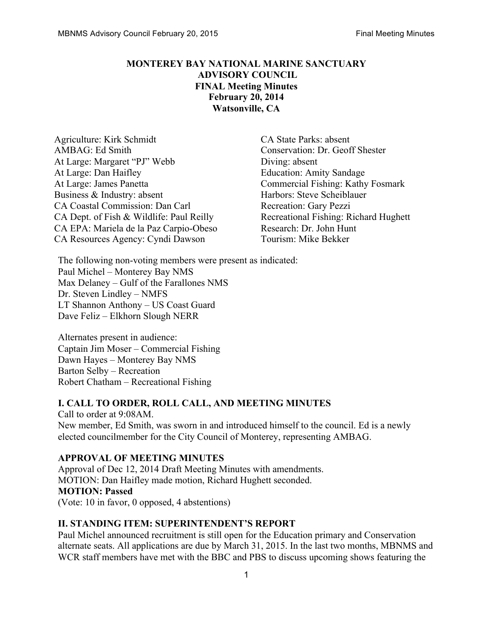# **MONTEREY BAY NATIONAL MARINE SANCTUARY ADVISORY COUNCIL FINAL Meeting Minutes February 20, 2014 Watsonville, CA**

Agriculture: Kirk Schmidt CA State Parks: absent AMBAG: Ed Smith Conservation: Dr. Geoff Shester At Large: Margaret "PJ" Webb Diving: absent At Large: Dan Haifley **Education: Amity Sandage** At Large: James Panetta Commercial Fishing: Kathy Fosmark Business & Industry: absent Harbors: Steve Scheiblauer CA Coastal Commission: Dan Carl Recreation: Gary Pezzi CA Dept. of Fish & Wildlife: Paul Reilly Recreational Fishing: Richard Hughett CA EPA: Mariela de la Paz Carpio-Obeso Research: Dr. John Hunt CA Resources Agency: Cyndi Dawson Tourism: Mike Bekker

The following non-voting members were present as indicated: Paul Michel – Monterey Bay NMS Max Delaney – Gulf of the Farallones NMS Dr. Steven Lindley – NMFS LT Shannon Anthony – US Coast Guard Dave Feliz – Elkhorn Slough NERR

Alternates present in audience: Captain Jim Moser – Commercial Fishing Dawn Hayes – Monterey Bay NMS Barton Selby – Recreation Robert Chatham – Recreational Fishing

### **I. CALL TO ORDER, ROLL CALL, AND MEETING MINUTES**

Call to order at 9:08AM. New member, Ed Smith, was sworn in and introduced himself to the council. Ed is a newly elected councilmember for the City Council of Monterey, representing AMBAG.

### **APPROVAL OF MEETING MINUTES**

Approval of Dec 12, 2014 Draft Meeting Minutes with amendments. MOTION: Dan Haifley made motion, Richard Hughett seconded. **MOTION: Passed**  (Vote: 10 in favor, 0 opposed, 4 abstentions)

### **II. STANDING ITEM: SUPERINTENDENT'S REPORT**

Paul Michel announced recruitment is still open for the Education primary and Conservation alternate seats. All applications are due by March 31, 2015. In the last two months, MBNMS and WCR staff members have met with the BBC and PBS to discuss upcoming shows featuring the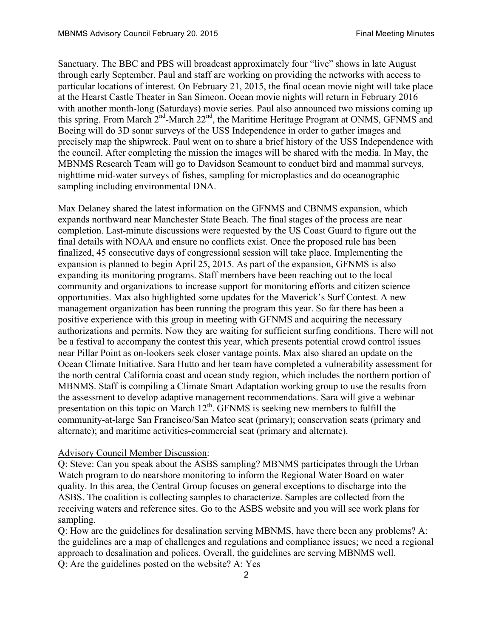Sanctuary. The BBC and PBS will broadcast approximately four "live" shows in late August through early September. Paul and staff are working on providing the networks with access to particular locations of interest. On February 21, 2015, the final ocean movie night will take place at the Hearst Castle Theater in San Simeon. Ocean movie nights will return in February 2016 with another month-long (Saturdays) movie series. Paul also announced two missions coming up this spring. From March  $2^{nd}$ -March  $22^{nd}$ , the Maritime Heritage Program at ONMS, GFNMS and Boeing will do 3D sonar surveys of the USS Independence in order to gather images and precisely map the shipwreck. Paul went on to share a brief history of the USS Independence with the council. After completing the mission the images will be shared with the media. In May, the MBNMS Research Team will go to Davidson Seamount to conduct bird and mammal surveys, nighttime mid-water surveys of fishes, sampling for microplastics and do oceanographic sampling including environmental DNA.

Max Delaney shared the latest information on the GFNMS and CBNMS expansion, which expands northward near Manchester State Beach. The final stages of the process are near completion. Last-minute discussions were requested by the US Coast Guard to figure out the final details with NOAA and ensure no conflicts exist. Once the proposed rule has been finalized, 45 consecutive days of congressional session will take place. Implementing the expansion is planned to begin April 25, 2015. As part of the expansion, GFNMS is also expanding its monitoring programs. Staff members have been reaching out to the local community and organizations to increase support for monitoring efforts and citizen science opportunities. Max also highlighted some updates for the Maverick's Surf Contest. A new management organization has been running the program this year. So far there has been a positive experience with this group in meeting with GFNMS and acquiring the necessary authorizations and permits. Now they are waiting for sufficient surfing conditions. There will not be a festival to accompany the contest this year, which presents potential crowd control issues near Pillar Point as on-lookers seek closer vantage points. Max also shared an update on the Ocean Climate Initiative. Sara Hutto and her team have completed a vulnerability assessment for the north central California coast and ocean study region, which includes the northern portion of MBNMS. Staff is compiling a Climate Smart Adaptation working group to use the results from the assessment to develop adaptive management recommendations. Sara will give a webinar presentation on this topic on March  $12<sup>th</sup>$ . GFNMS is seeking new members to fulfill the community-at-large San Francisco/San Mateo seat (primary); conservation seats (primary and alternate); and maritime activities-commercial seat (primary and alternate).

#### Advisory Council Member Discussion:

Q: Steve: Can you speak about the ASBS sampling? MBNMS participates through the Urban Watch program to do nearshore monitoring to inform the Regional Water Board on water quality. In this area, the Central Group focuses on general exceptions to discharge into the ASBS. The coalition is collecting samples to characterize. Samples are collected from the receiving waters and reference sites. Go to the ASBS website and you will see work plans for sampling.

Q: How are the guidelines for desalination serving MBNMS, have there been any problems? A: the guidelines are a map of challenges and regulations and compliance issues; we need a regional approach to desalination and polices. Overall, the guidelines are serving MBNMS well. Q: Are the guidelines posted on the website? A: Yes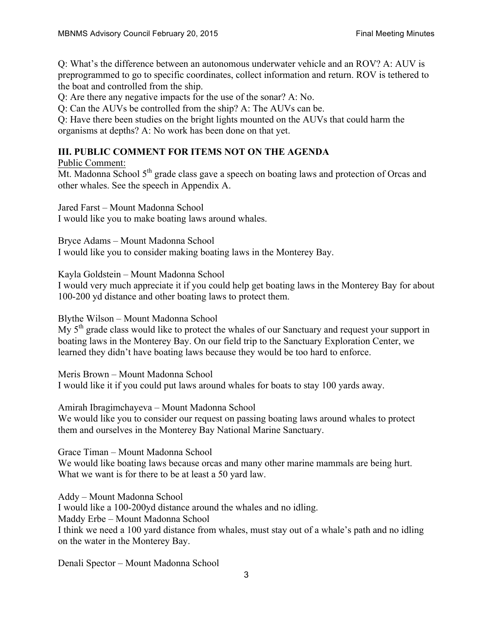Q: What's the difference between an autonomous underwater vehicle and an ROV? A: AUV is preprogrammed to go to specific coordinates, collect information and return. ROV is tethered to the boat and controlled from the ship.

Q: Are there any negative impacts for the use of the sonar? A: No.

Q: Can the AUVs be controlled from the ship? A: The AUVs can be.

Q: Have there been studies on the bright lights mounted on the AUVs that could harm the organisms at depths? A: No work has been done on that yet.

# **III. PUBLIC COMMENT FOR ITEMS NOT ON THE AGENDA**

Public Comment:

Mt. Madonna School 5<sup>th</sup> grade class gave a speech on boating laws and protection of Orcas and other whales. See the speech in Appendix A.

Jared Farst – Mount Madonna School I would like you to make boating laws around whales.

Bryce Adams – Mount Madonna School I would like you to consider making boating laws in the Monterey Bay.

Kayla Goldstein – Mount Madonna School

I would very much appreciate it if you could help get boating laws in the Monterey Bay for about 100-200 yd distance and other boating laws to protect them.

Blythe Wilson – Mount Madonna School

My 5<sup>th</sup> grade class would like to protect the whales of our Sanctuary and request your support in boating laws in the Monterey Bay. On our field trip to the Sanctuary Exploration Center, we learned they didn't have boating laws because they would be too hard to enforce.

Meris Brown – Mount Madonna School I would like it if you could put laws around whales for boats to stay 100 yards away.

Amirah Ibragimchayeva – Mount Madonna School

We would like you to consider our request on passing boating laws around whales to protect them and ourselves in the Monterey Bay National Marine Sanctuary.

Grace Timan – Mount Madonna School

We would like boating laws because orcas and many other marine mammals are being hurt. What we want is for there to be at least a 50 yard law.

Addy – Mount Madonna School I would like a 100-200yd distance around the whales and no idling. Maddy Erbe – Mount Madonna School I think we need a 100 yard distance from whales, must stay out of a whale's path and no idling on the water in the Monterey Bay.

Denali Spector – Mount Madonna School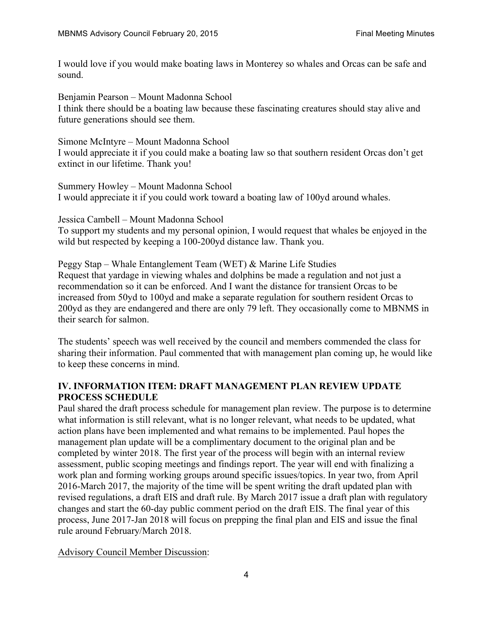I would love if you would make boating laws in Monterey so whales and Orcas can be safe and sound.

Benjamin Pearson – Mount Madonna School I think there should be a boating law because these fascinating creatures should stay alive and future generations should see them.

Simone McIntyre – Mount Madonna School I would appreciate it if you could make a boating law so that southern resident Orcas don't get extinct in our lifetime. Thank you!

Summery Howley – Mount Madonna School I would appreciate it if you could work toward a boating law of 100yd around whales.

Jessica Cambell – Mount Madonna School To support my students and my personal opinion, I would request that whales be enjoyed in the wild but respected by keeping a 100-200yd distance law. Thank you.

Peggy Stap – Whale Entanglement Team (WET) & Marine Life Studies Request that yardage in viewing whales and dolphins be made a regulation and not just a recommendation so it can be enforced. And I want the distance for transient Orcas to be increased from 50yd to 100yd and make a separate regulation for southern resident Orcas to 200yd as they are endangered and there are only 79 left. They occasionally come to MBNMS in their search for salmon.

The students' speech was well received by the council and members commended the class for sharing their information. Paul commented that with management plan coming up, he would like to keep these concerns in mind.

# **IV. INFORMATION ITEM: DRAFT MANAGEMENT PLAN REVIEW UPDATE PROCESS SCHEDULE**

Paul shared the draft process schedule for management plan review. The purpose is to determine what information is still relevant, what is no longer relevant, what needs to be updated, what action plans have been implemented and what remains to be implemented. Paul hopes the management plan update will be a complimentary document to the original plan and be completed by winter 2018. The first year of the process will begin with an internal review assessment, public scoping meetings and findings report. The year will end with finalizing a work plan and forming working groups around specific issues/topics. In year two, from April 2016-March 2017, the majority of the time will be spent writing the draft updated plan with revised regulations, a draft EIS and draft rule. By March 2017 issue a draft plan with regulatory changes and start the 60-day public comment period on the draft EIS. The final year of this process, June 2017-Jan 2018 will focus on prepping the final plan and EIS and issue the final rule around February/March 2018.

Advisory Council Member Discussion: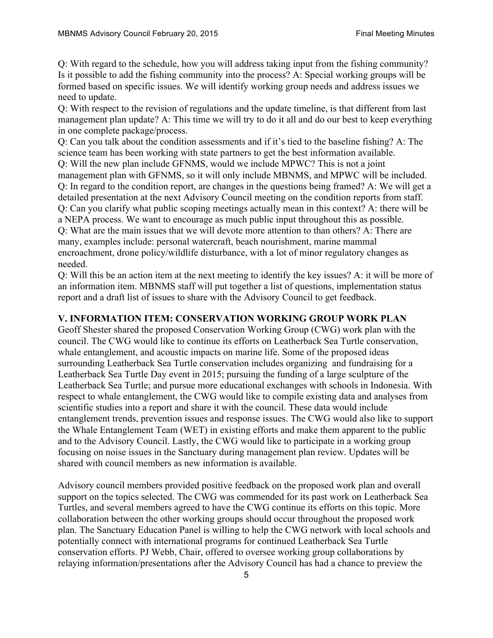Q: With regard to the schedule, how you will address taking input from the fishing community? Is it possible to add the fishing community into the process? A: Special working groups will be formed based on specific issues. We will identify working group needs and address issues we need to update.

Q: With respect to the revision of regulations and the update timeline, is that different from last management plan update? A: This time we will try to do it all and do our best to keep everything in one complete package/process.

Q: Can you talk about the condition assessments and if it's tied to the baseline fishing? A: The science team has been working with state partners to get the best information available.

Q: Will the new plan include GFNMS, would we include MPWC? This is not a joint management plan with GFNMS, so it will only include MBNMS, and MPWC will be included. Q: In regard to the condition report, are changes in the questions being framed? A: We will get a detailed presentation at the next Advisory Council meeting on the condition reports from staff. Q: Can you clarify what public scoping meetings actually mean in this context? A: there will be

a NEPA process. We want to encourage as much public input throughout this as possible. Q: What are the main issues that we will devote more attention to than others? A: There are many, examples include: personal watercraft, beach nourishment, marine mammal encroachment, drone policy/wildlife disturbance, with a lot of minor regulatory changes as needed.

Q: Will this be an action item at the next meeting to identify the key issues? A: it will be more of an information item. MBNMS staff will put together a list of questions, implementation status report and a draft list of issues to share with the Advisory Council to get feedback.

### **V. INFORMATION ITEM: CONSERVATION WORKING GROUP WORK PLAN**

Geoff Shester shared the proposed Conservation Working Group (CWG) work plan with the council. The CWG would like to continue its efforts on Leatherback Sea Turtle conservation, whale entanglement, and acoustic impacts on marine life. Some of the proposed ideas surrounding Leatherback Sea Turtle conservation includes organizing and fundraising for a Leatherback Sea Turtle Day event in 2015; pursuing the funding of a large sculpture of the Leatherback Sea Turtle; and pursue more educational exchanges with schools in Indonesia. With respect to whale entanglement, the CWG would like to compile existing data and analyses from scientific studies into a report and share it with the council. These data would include entanglement trends, prevention issues and response issues. The CWG would also like to support the Whale Entanglement Team (WET) in existing efforts and make them apparent to the public and to the Advisory Council. Lastly, the CWG would like to participate in a working group focusing on noise issues in the Sanctuary during management plan review. Updates will be shared with council members as new information is available.

Advisory council members provided positive feedback on the proposed work plan and overall support on the topics selected. The CWG was commended for its past work on Leatherback Sea Turtles, and several members agreed to have the CWG continue its efforts on this topic. More collaboration between the other working groups should occur throughout the proposed work plan. The Sanctuary Education Panel is willing to help the CWG network with local schools and potentially connect with international programs for continued Leatherback Sea Turtle conservation efforts. PJ Webb, Chair, offered to oversee working group collaborations by relaying information/presentations after the Advisory Council has had a chance to preview the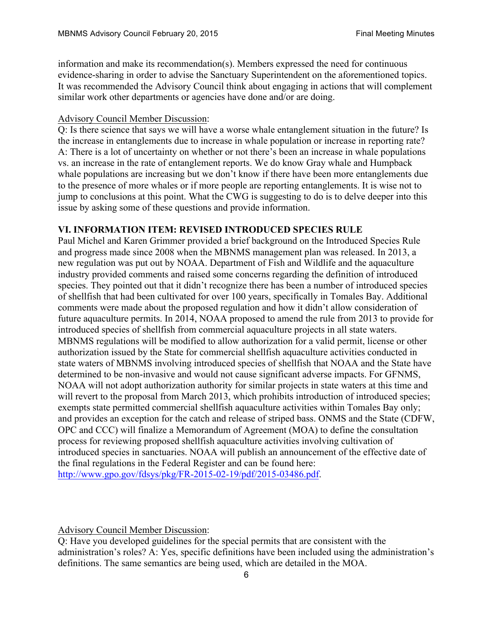information and make its recommendation(s). Members expressed the need for continuous evidence-sharing in order to advise the Sanctuary Superintendent on the aforementioned topics. It was recommended the Advisory Council think about engaging in actions that will complement similar work other departments or agencies have done and/or are doing.

#### Advisory Council Member Discussion:

Q: Is there science that says we will have a worse whale entanglement situation in the future? Is the increase in entanglements due to increase in whale population or increase in reporting rate? A: There is a lot of uncertainty on whether or not there's been an increase in whale populations vs. an increase in the rate of entanglement reports. We do know Gray whale and Humpback whale populations are increasing but we don't know if there have been more entanglements due to the presence of more whales or if more people are reporting entanglements. It is wise not to jump to conclusions at this point. What the CWG is suggesting to do is to delve deeper into this issue by asking some of these questions and provide information.

#### **VI. INFORMATION ITEM: REVISED INTRODUCED SPECIES RULE**

Paul Michel and Karen Grimmer provided a brief background on the Introduced Species Rule and progress made since 2008 when the MBNMS management plan was released. In 2013, a new regulation was put out by NOAA. Department of Fish and Wildlife and the aquaculture industry provided comments and raised some concerns regarding the definition of introduced species. They pointed out that it didn't recognize there has been a number of introduced species of shellfish that had been cultivated for over 100 years, specifically in Tomales Bay. Additional comments were made about the proposed regulation and how it didn't allow consideration of future aquaculture permits. In 2014, NOAA proposed to amend the rule from 2013 to provide for introduced species of shellfish from commercial aquaculture projects in all state waters. MBNMS regulations will be modified to allow authorization for a valid permit, license or other authorization issued by the State for commercial shellfish aquaculture activities conducted in state waters of MBNMS involving introduced species of shellfish that NOAA and the State have determined to be non-invasive and would not cause significant adverse impacts. For GFNMS, NOAA will not adopt authorization authority for similar projects in state waters at this time and will revert to the proposal from March 2013, which prohibits introduction of introduced species; exempts state permitted commercial shellfish aquaculture activities within Tomales Bay only; and provides an exception for the catch and release of striped bass. ONMS and the State (CDFW, OPC and CCC) will finalize a Memorandum of Agreement (MOA) to define the consultation process for reviewing proposed shellfish aquaculture activities involving cultivation of introduced species in sanctuaries. NOAA will publish an announcement of the effective date of the final regulations in the Federal Register and can be found here: http://www.gpo.gov/fdsys/pkg/FR-2015-02-19/pdf/2015-03486.pdf.

Advisory Council Member Discussion:

Q: Have you developed guidelines for the special permits that are consistent with the administration's roles? A: Yes, specific definitions have been included using the administration's definitions. The same semantics are being used, which are detailed in the MOA.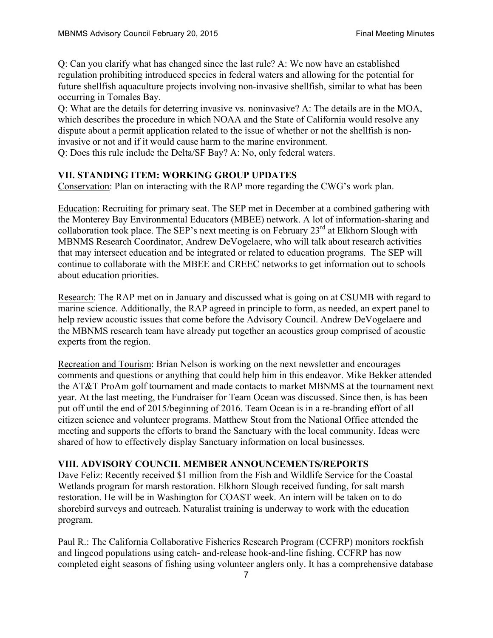Q: Can you clarify what has changed since the last rule? A: We now have an established regulation prohibiting introduced species in federal waters and allowing for the potential for future shellfish aquaculture projects involving non-invasive shellfish, similar to what has been occurring in Tomales Bay.

Q: What are the details for deterring invasive vs. noninvasive? A: The details are in the MOA, which describes the procedure in which NOAA and the State of California would resolve any dispute about a permit application related to the issue of whether or not the shellfish is noninvasive or not and if it would cause harm to the marine environment.

Q: Does this rule include the Delta/SF Bay? A: No, only federal waters.

#### **VII. STANDING ITEM: WORKING GROUP UPDATES**

Conservation: Plan on interacting with the RAP more regarding the CWG's work plan.

Education: Recruiting for primary seat. The SEP met in December at a combined gathering with the Monterey Bay Environmental Educators (MBEE) network. A lot of information-sharing and collaboration took place. The SEP's next meeting is on February 23<sup>rd</sup> at Elkhorn Slough with MBNMS Research Coordinator, Andrew DeVogelaere, who will talk about research activities that may intersect education and be integrated or related to education programs. The SEP will continue to collaborate with the MBEE and CREEC networks to get information out to schools about education priorities.

Research: The RAP met on in January and discussed what is going on at CSUMB with regard to marine science. Additionally, the RAP agreed in principle to form, as needed, an expert panel to help review acoustic issues that come before the Advisory Council. Andrew DeVogelaere and the MBNMS research team have already put together an acoustics group comprised of acoustic experts from the region.

Recreation and Tourism: Brian Nelson is working on the next newsletter and encourages comments and questions or anything that could help him in this endeavor. Mike Bekker attended the AT&T ProAm golf tournament and made contacts to market MBNMS at the tournament next year. At the last meeting, the Fundraiser for Team Ocean was discussed. Since then, is has been put off until the end of 2015/beginning of 2016. Team Ocean is in a re-branding effort of all citizen science and volunteer programs. Matthew Stout from the National Office attended the meeting and supports the efforts to brand the Sanctuary with the local community. Ideas were shared of how to effectively display Sanctuary information on local businesses.

#### **VIII. ADVISORY COUNCIL MEMBER ANNOUNCEMENTS/REPORTS**

Dave Feliz: Recently received \$1 million from the Fish and Wildlife Service for the Coastal Wetlands program for marsh restoration. Elkhorn Slough received funding, for salt marsh restoration. He will be in Washington for COAST week. An intern will be taken on to do shorebird surveys and outreach. Naturalist training is underway to work with the education program.

Paul R.: The California Collaborative Fisheries Research Program (CCFRP) monitors rockfish and lingcod populations using catch- and-release hook-and-line fishing. CCFRP has now completed eight seasons of fishing using volunteer anglers only. It has a comprehensive database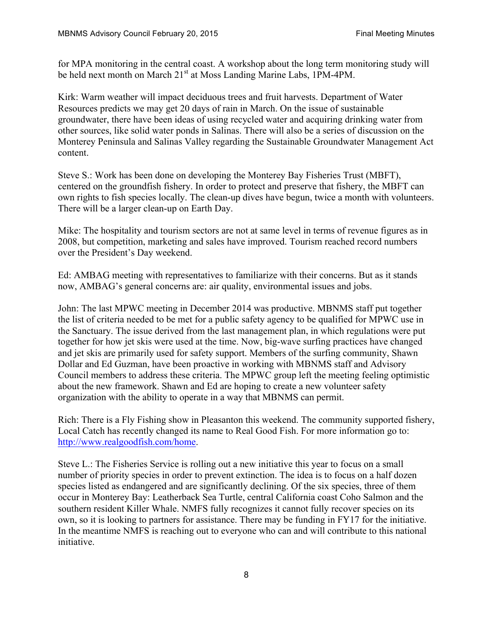for MPA monitoring in the central coast. A workshop about the long term monitoring study will be held next month on March 21<sup>st</sup> at Moss Landing Marine Labs, 1PM-4PM.

Kirk: Warm weather will impact deciduous trees and fruit harvests. Department of Water Resources predicts we may get 20 days of rain in March. On the issue of sustainable groundwater, there have been ideas of using recycled water and acquiring drinking water from other sources, like solid water ponds in Salinas. There will also be a series of discussion on the Monterey Peninsula and Salinas Valley regarding the Sustainable Groundwater Management Act content.

Steve S.: Work has been done on developing the Monterey Bay Fisheries Trust (MBFT), centered on the groundfish fishery. In order to protect and preserve that fishery, the MBFT can own rights to fish species locally. The clean-up dives have begun, twice a month with volunteers. There will be a larger clean-up on Earth Day.

Mike: The hospitality and tourism sectors are not at same level in terms of revenue figures as in 2008, but competition, marketing and sales have improved. Tourism reached record numbers over the President's Day weekend.

Ed: AMBAG meeting with representatives to familiarize with their concerns. But as it stands now, AMBAG's general concerns are: air quality, environmental issues and jobs.

John: The last MPWC meeting in December 2014 was productive. MBNMS staff put together the list of criteria needed to be met for a public safety agency to be qualified for MPWC use in the Sanctuary. The issue derived from the last management plan, in which regulations were put together for how jet skis were used at the time. Now, big-wave surfing practices have changed and jet skis are primarily used for safety support. Members of the surfing community, Shawn Dollar and Ed Guzman, have been proactive in working with MBNMS staff and Advisory Council members to address these criteria. The MPWC group left the meeting feeling optimistic about the new framework. Shawn and Ed are hoping to create a new volunteer safety organization with the ability to operate in a way that MBNMS can permit.

Rich: There is a Fly Fishing show in Pleasanton this weekend. The community supported fishery, Local Catch has recently changed its name to Real Good Fish. For more information go to: http://www.realgoodfish.com/home.

Steve L.: The Fisheries Service is rolling out a new initiative this year to focus on a small number of priority species in order to prevent extinction. The idea is to focus on a half dozen species listed as endangered and are significantly declining. Of the six species, three of them occur in Monterey Bay: Leatherback Sea Turtle, central California coast Coho Salmon and the southern resident Killer Whale. NMFS fully recognizes it cannot fully recover species on its own, so it is looking to partners for assistance. There may be funding in FY17 for the initiative. In the meantime NMFS is reaching out to everyone who can and will contribute to this national initiative.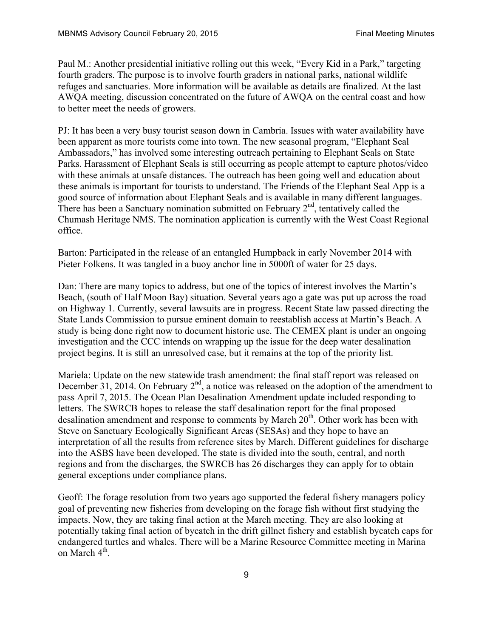Paul M.: Another presidential initiative rolling out this week, "Every Kid in a Park," targeting fourth graders. The purpose is to involve fourth graders in national parks, national wildlife refuges and sanctuaries. More information will be available as details are finalized. At the last AWQA meeting, discussion concentrated on the future of AWQA on the central coast and how to better meet the needs of growers.

PJ: It has been a very busy tourist season down in Cambria. Issues with water availability have been apparent as more tourists come into town. The new seasonal program, "Elephant Seal Ambassadors," has involved some interesting outreach pertaining to Elephant Seals on State Parks. Harassment of Elephant Seals is still occurring as people attempt to capture photos/video with these animals at unsafe distances. The outreach has been going well and education about these animals is important for tourists to understand. The Friends of the Elephant Seal App is a good source of information about Elephant Seals and is available in many different languages. There has been a Sanctuary nomination submitted on February  $2<sup>nd</sup>$ , tentatively called the Chumash Heritage NMS. The nomination application is currently with the West Coast Regional office.

Barton: Participated in the release of an entangled Humpback in early November 2014 with Pieter Folkens. It was tangled in a buoy anchor line in 5000ft of water for 25 days.

Dan: There are many topics to address, but one of the topics of interest involves the Martin's Beach, (south of Half Moon Bay) situation. Several years ago a gate was put up across the road on Highway 1. Currently, several lawsuits are in progress. Recent State law passed directing the State Lands Commission to pursue eminent domain to reestablish access at Martin's Beach. A study is being done right now to document historic use. The CEMEX plant is under an ongoing investigation and the CCC intends on wrapping up the issue for the deep water desalination project begins. It is still an unresolved case, but it remains at the top of the priority list.

Mariela: Update on the new statewide trash amendment: the final staff report was released on December 31, 2014. On February  $2<sup>nd</sup>$ , a notice was released on the adoption of the amendment to pass April 7, 2015. The Ocean Plan Desalination Amendment update included responding to letters. The SWRCB hopes to release the staff desalination report for the final proposed desalination amendment and response to comments by March 20<sup>th</sup>. Other work has been with Steve on Sanctuary Ecologically Significant Areas (SESAs) and they hope to have an interpretation of all the results from reference sites by March. Different guidelines for discharge into the ASBS have been developed. The state is divided into the south, central, and north regions and from the discharges, the SWRCB has 26 discharges they can apply for to obtain general exceptions under compliance plans.

Geoff: The forage resolution from two years ago supported the federal fishery managers policy goal of preventing new fisheries from developing on the forage fish without first studying the impacts. Now, they are taking final action at the March meeting. They are also looking at potentially taking final action of bycatch in the drift gillnet fishery and establish bycatch caps for endangered turtles and whales. There will be a Marine Resource Committee meeting in Marina on March  $4^{\text{th}}$ .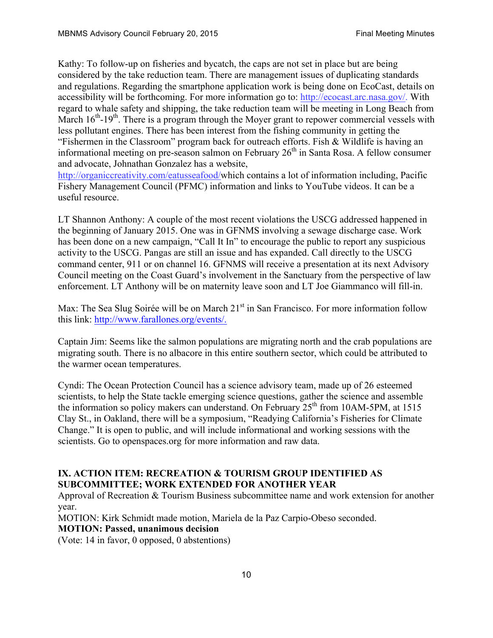Kathy: To follow-up on fisheries and bycatch, the caps are not set in place but are being considered by the take reduction team. There are management issues of duplicating standards and regulations. Regarding the smartphone application work is being done on EcoCast, details on accessibility will be forthcoming. For more information go to: http://ecocast.arc.nasa.gov/. With regard to whale safety and shipping, the take reduction team will be meeting in Long Beach from March 16<sup>th</sup>-19<sup>th</sup>. There is a program through the Moyer grant to repower commercial vessels with less pollutant engines. There has been interest from the fishing community in getting the "Fishermen in the Classroom" program back for outreach efforts. Fish & Wildlife is having an informational meeting on pre-season salmon on February  $26<sup>th</sup>$  in Santa Rosa. A fellow consumer and advocate, Johnathan Gonzalez has a website,

http://organiccreativity.com/eatusseafood/which contains a lot of information including, Pacific Fishery Management Council (PFMC) information and links to YouTube videos. It can be a useful resource.

LT Shannon Anthony: A couple of the most recent violations the USCG addressed happened in the beginning of January 2015. One was in GFNMS involving a sewage discharge case. Work has been done on a new campaign, "Call It In" to encourage the public to report any suspicious activity to the USCG. Pangas are still an issue and has expanded. Call directly to the USCG command center, 911 or on channel 16. GFNMS will receive a presentation at its next Advisory Council meeting on the Coast Guard's involvement in the Sanctuary from the perspective of law enforcement. LT Anthony will be on maternity leave soon and LT Joe Giammanco will fill-in.

Max: The Sea Slug Soirée will be on March 21<sup>st</sup> in San Francisco. For more information follow this link: http://www.farallones.org/events/.

Captain Jim: Seems like the salmon populations are migrating north and the crab populations are migrating south. There is no albacore in this entire southern sector, which could be attributed to the warmer ocean temperatures.

Cyndi: The Ocean Protection Council has a science advisory team, made up of 26 esteemed scientists, to help the State tackle emerging science questions, gather the science and assemble the information so policy makers can understand. On February  $25<sup>th</sup>$  from 10AM-5PM, at 1515 Clay St., in Oakland, there will be a symposium, "Readying California's Fisheries for Climate Change." It is open to public, and will include informational and working sessions with the scientists. Go to openspaces.org for more information and raw data.

# **IX. ACTION ITEM: RECREATION & TOURISM GROUP IDENTIFIED AS SUBCOMMITTEE; WORK EXTENDED FOR ANOTHER YEAR**

Approval of Recreation & Tourism Business subcommittee name and work extension for another year.

MOTION: Kirk Schmidt made motion, Mariela de la Paz Carpio-Obeso seconded.

**MOTION: Passed, unanimous decision**

(Vote: 14 in favor, 0 opposed, 0 abstentions)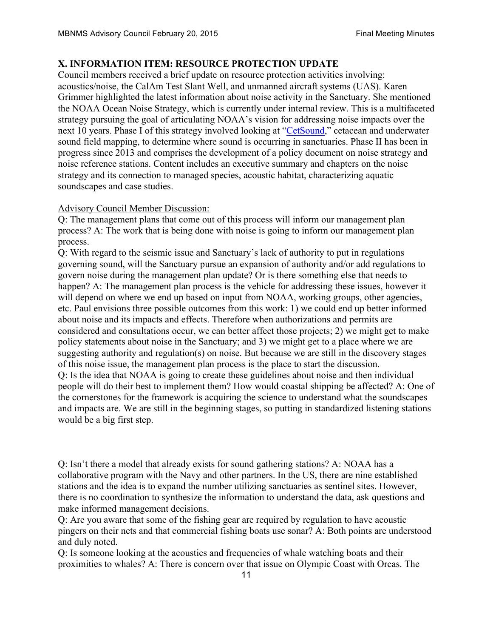# **X. INFORMATION ITEM: RESOURCE PROTECTION UPDATE**

Council members received a brief update on resource protection activities involving: acoustics/noise, the CalAm Test Slant Well, and unmanned aircraft systems (UAS). Karen Grimmer highlighted the latest information about noise activity in the Sanctuary. She mentioned the NOAA Ocean Noise Strategy, which is currently under internal review. This is a multifaceted strategy pursuing the goal of articulating NOAA's vision for addressing noise impacts over the next 10 years. Phase I of this strategy involved looking at "CetSound," cetacean and underwater sound field mapping, to determine where sound is occurring in sanctuaries. Phase II has been in progress since 2013 and comprises the development of a policy document on noise strategy and noise reference stations. Content includes an executive summary and chapters on the noise strategy and its connection to managed species, acoustic habitat, characterizing aquatic soundscapes and case studies.

### Advisory Council Member Discussion:

Q: The management plans that come out of this process will inform our management plan process? A: The work that is being done with noise is going to inform our management plan process.

Q: With regard to the seismic issue and Sanctuary's lack of authority to put in regulations governing sound, will the Sanctuary pursue an expansion of authority and/or add regulations to govern noise during the management plan update? Or is there something else that needs to happen? A: The management plan process is the vehicle for addressing these issues, however it will depend on where we end up based on input from NOAA, working groups, other agencies, etc. Paul envisions three possible outcomes from this work: 1) we could end up better informed about noise and its impacts and effects. Therefore when authorizations and permits are considered and consultations occur, we can better affect those projects; 2) we might get to make policy statements about noise in the Sanctuary; and 3) we might get to a place where we are suggesting authority and regulation(s) on noise. But because we are still in the discovery stages of this noise issue, the management plan process is the place to start the discussion. Q: Is the idea that NOAA is going to create these guidelines about noise and then individual people will do their best to implement them? How would coastal shipping be affected? A: One of the cornerstones for the framework is acquiring the science to understand what the soundscapes and impacts are. We are still in the beginning stages, so putting in standardized listening stations would be a big first step.

Q: Isn't there a model that already exists for sound gathering stations? A: NOAA has a collaborative program with the Navy and other partners. In the US, there are nine established stations and the idea is to expand the number utilizing sanctuaries as sentinel sites. However, there is no coordination to synthesize the information to understand the data, ask questions and make informed management decisions.

Q: Are you aware that some of the fishing gear are required by regulation to have acoustic pingers on their nets and that commercial fishing boats use sonar? A: Both points are understood and duly noted.

Q: Is someone looking at the acoustics and frequencies of whale watching boats and their proximities to whales? A: There is concern over that issue on Olympic Coast with Orcas. The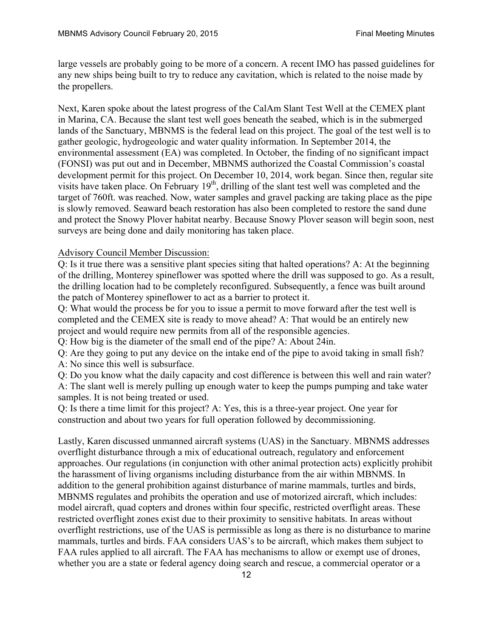large vessels are probably going to be more of a concern. A recent IMO has passed guidelines for any new ships being built to try to reduce any cavitation, which is related to the noise made by the propellers.

Next, Karen spoke about the latest progress of the CalAm Slant Test Well at the CEMEX plant in Marina, CA. Because the slant test well goes beneath the seabed, which is in the submerged lands of the Sanctuary, MBNMS is the federal lead on this project. The goal of the test well is to gather geologic, hydrogeologic and water quality information. In September 2014, the environmental assessment (EA) was completed. In October, the finding of no significant impact (FONSI) was put out and in December, MBNMS authorized the Coastal Commission's coastal development permit for this project. On December 10, 2014, work began. Since then, regular site visits have taken place. On February  $19<sup>th</sup>$ , drilling of the slant test well was completed and the target of 760ft. was reached. Now, water samples and gravel packing are taking place as the pipe is slowly removed. Seaward beach restoration has also been completed to restore the sand dune and protect the Snowy Plover habitat nearby. Because Snowy Plover season will begin soon, nest surveys are being done and daily monitoring has taken place.

#### Advisory Council Member Discussion:

Q: Is it true there was a sensitive plant species siting that halted operations? A: At the beginning of the drilling, Monterey spineflower was spotted where the drill was supposed to go. As a result, the drilling location had to be completely reconfigured. Subsequently, a fence was built around the patch of Monterey spineflower to act as a barrier to protect it.

Q: What would the process be for you to issue a permit to move forward after the test well is completed and the CEMEX site is ready to move ahead? A: That would be an entirely new project and would require new permits from all of the responsible agencies.

Q: How big is the diameter of the small end of the pipe? A: About 24in.

Q: Are they going to put any device on the intake end of the pipe to avoid taking in small fish? A: No since this well is subsurface.

Q: Do you know what the daily capacity and cost difference is between this well and rain water? A: The slant well is merely pulling up enough water to keep the pumps pumping and take water samples. It is not being treated or used.

Q: Is there a time limit for this project? A: Yes, this is a three-year project. One year for construction and about two years for full operation followed by decommissioning.

Lastly, Karen discussed unmanned aircraft systems (UAS) in the Sanctuary. MBNMS addresses overflight disturbance through a mix of educational outreach, regulatory and enforcement approaches. Our regulations (in conjunction with other animal protection acts) explicitly prohibit the harassment of living organisms including disturbance from the air within MBNMS. In addition to the general prohibition against disturbance of marine mammals, turtles and birds, MBNMS regulates and prohibits the operation and use of motorized aircraft, which includes: model aircraft, quad copters and drones within four specific, restricted overflight areas. These restricted overflight zones exist due to their proximity to sensitive habitats. In areas without overflight restrictions, use of the UAS is permissible as long as there is no disturbance to marine mammals, turtles and birds. FAA considers UAS's to be aircraft, which makes them subject to FAA rules applied to all aircraft. The FAA has mechanisms to allow or exempt use of drones, whether you are a state or federal agency doing search and rescue, a commercial operator or a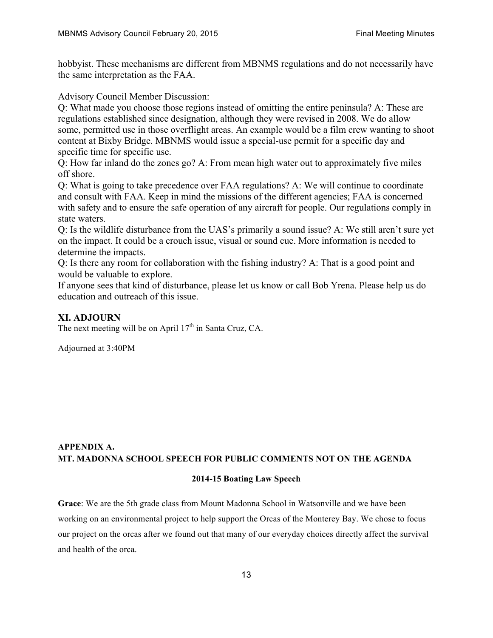hobbyist. These mechanisms are different from MBNMS regulations and do not necessarily have the same interpretation as the FAA.

Advisory Council Member Discussion:

Q: What made you choose those regions instead of omitting the entire peninsula? A: These are regulations established since designation, although they were revised in 2008. We do allow some, permitted use in those overflight areas. An example would be a film crew wanting to shoot content at Bixby Bridge. MBNMS would issue a special-use permit for a specific day and specific time for specific use.

Q: How far inland do the zones go? A: From mean high water out to approximately five miles off shore.

Q: What is going to take precedence over FAA regulations? A: We will continue to coordinate and consult with FAA. Keep in mind the missions of the different agencies; FAA is concerned with safety and to ensure the safe operation of any aircraft for people. Our regulations comply in state waters.

Q: Is the wildlife disturbance from the UAS's primarily a sound issue? A: We still aren't sure yet on the impact. It could be a crouch issue, visual or sound cue. More information is needed to determine the impacts.

Q: Is there any room for collaboration with the fishing industry? A: That is a good point and would be valuable to explore.

If anyone sees that kind of disturbance, please let us know or call Bob Yrena. Please help us do education and outreach of this issue.

# **XI. ADJOURN**

The next meeting will be on April  $17<sup>th</sup>$  in Santa Cruz, CA.

Adjourned at 3:40PM

## **APPENDIX A. MT. MADONNA SCHOOL SPEECH FOR PUBLIC COMMENTS NOT ON THE AGENDA**

#### **2014-15 Boating Law Speech**

**Grace**: We are the 5th grade class from Mount Madonna School in Watsonville and we have been working on an environmental project to help support the Orcas of the Monterey Bay. We chose to focus our project on the orcas after we found out that many of our everyday choices directly affect the survival and health of the orca.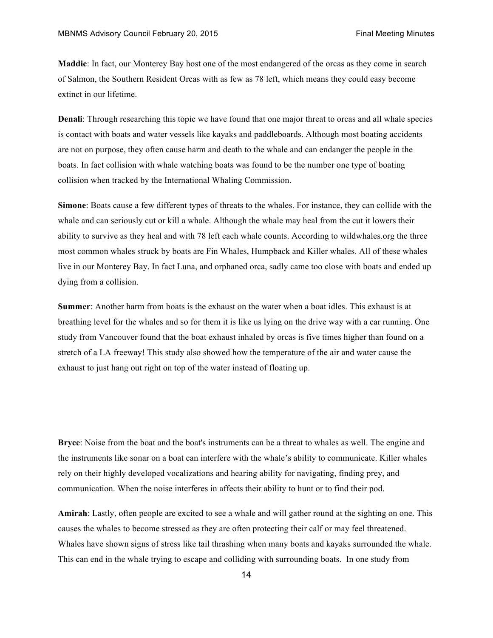**Maddie**: In fact, our Monterey Bay host one of the most endangered of the orcas as they come in search of Salmon, the Southern Resident Orcas with as few as 78 left, which means they could easy become extinct in our lifetime.

**Denali**: Through researching this topic we have found that one major threat to orcas and all whale species is contact with boats and water vessels like kayaks and paddleboards. Although most boating accidents are not on purpose, they often cause harm and death to the whale and can endanger the people in the boats. In fact collision with whale watching boats was found to be the number one type of boating collision when tracked by the International Whaling Commission.

**Simone**: Boats cause a few different types of threats to the whales. For instance, they can collide with the whale and can seriously cut or kill a whale. Although the whale may heal from the cut it lowers their ability to survive as they heal and with 78 left each whale counts. According to wildwhales.org the three most common whales struck by boats are Fin Whales, Humpback and Killer whales. All of these whales live in our Monterey Bay. In fact Luna, and orphaned orca, sadly came too close with boats and ended up dying from a collision.

**Summer**: Another harm from boats is the exhaust on the water when a boat idles. This exhaust is at breathing level for the whales and so for them it is like us lying on the drive way with a car running. One study from Vancouver found that the boat exhaust inhaled by orcas is five times higher than found on a stretch of a LA freeway! This study also showed how the temperature of the air and water cause the exhaust to just hang out right on top of the water instead of floating up.

**Bryce**: Noise from the boat and the boat's instruments can be a threat to whales as well. The engine and the instruments like sonar on a boat can interfere with the whale's ability to communicate. Killer whales rely on their highly developed vocalizations and hearing ability for navigating, finding prey, and communication. When the noise interferes in affects their ability to hunt or to find their pod.

**Amirah**: Lastly, often people are excited to see a whale and will gather round at the sighting on one. This causes the whales to become stressed as they are often protecting their calf or may feel threatened. Whales have shown signs of stress like tail thrashing when many boats and kayaks surrounded the whale. This can end in the whale trying to escape and colliding with surrounding boats. In one study from